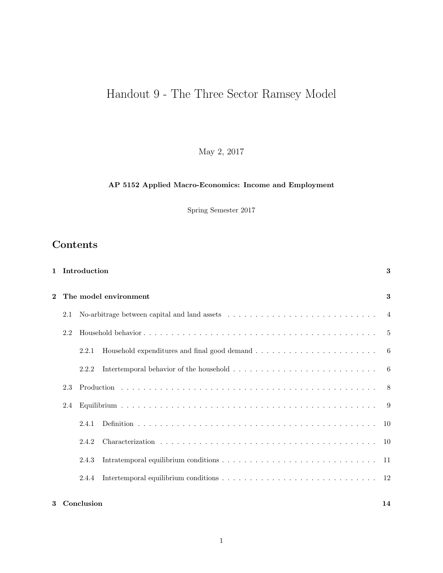# Handout 9 - The Three Sector Ramsey Model

May 2, 2017

# AP 5152 Applied Macro-Economics: Income and Employment

Spring Semester 2017

# Contents

|                       | 1 Introduction |                                                                                                                 | 3 |
|-----------------------|----------------|-----------------------------------------------------------------------------------------------------------------|---|
| The model environment |                |                                                                                                                 | 3 |
| 2.1                   |                | No-arbitrage between capital and land assets $\ldots \ldots \ldots \ldots \ldots \ldots \ldots \ldots$          |   |
| 2.2                   |                |                                                                                                                 |   |
|                       | 2.2.1          |                                                                                                                 |   |
|                       | 2.2.2          | Intertemporal behavior of the household $\ldots \ldots \ldots \ldots \ldots \ldots \ldots \ldots \ldots \ldots$ |   |
| 2.3                   |                |                                                                                                                 |   |
| 2.4                   |                |                                                                                                                 |   |
|                       | 2.4.1          |                                                                                                                 |   |
|                       | 2.4.2          |                                                                                                                 |   |
|                       | 2.4.3          |                                                                                                                 |   |
|                       | 2.4.4          |                                                                                                                 |   |
|                       |                |                                                                                                                 |   |

## 3 Conclusion 14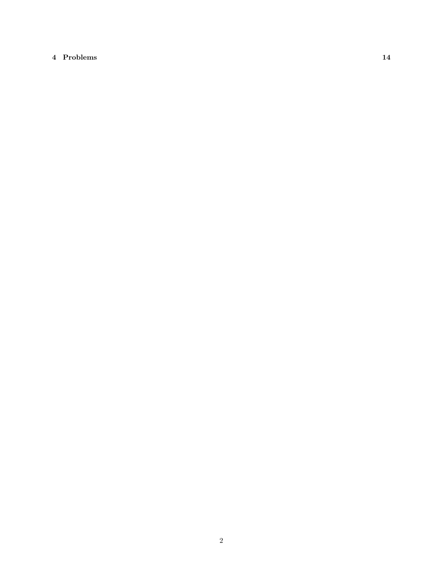# 4 Problems 14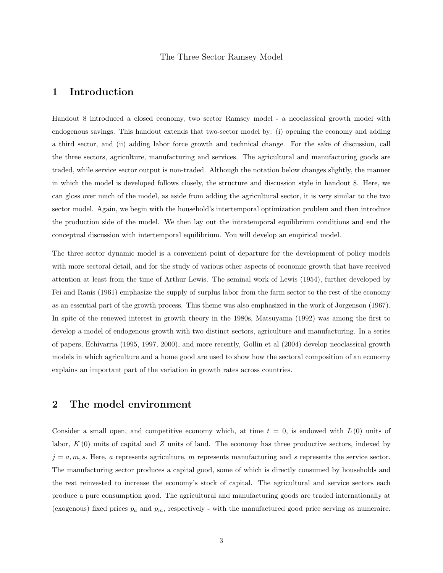## The Three Sector Ramsey Model

# 1 Introduction

Handout 8 introduced a closed economy, two sector Ramsey model - a neoclassical growth model with endogenous savings. This handout extends that two-sector model by: (i) opening the economy and adding a third sector, and (ii) adding labor force growth and technical change. For the sake of discussion, call the three sectors, agriculture, manufacturing and services. The agricultural and manufacturing goods are traded, while service sector output is non-traded. Although the notation below changes slightly, the manner in which the model is developed follows closely, the structure and discussion style in handout 8. Here, we can gloss over much of the model, as aside from adding the agricultural sector, it is very similar to the two sector model. Again, we begin with the household's intertemporal optimization problem and then introduce the production side of the model. We then lay out the intratemporal equilibrium conditions and end the conceptual discussion with intertemporal equilibrium. You will develop an empirical model.

The three sector dynamic model is a convenient point of departure for the development of policy models with more sectoral detail, and for the study of various other aspects of economic growth that have received attention at least from the time of Arthur Lewis. The seminal work of Lewis (1954), further developed by Fei and Ranis (1961) emphasize the supply of surplus labor from the farm sector to the rest of the economy as an essential part of the growth process. This theme was also emphasized in the work of Jorgenson (1967). In spite of the renewed interest in growth theory in the 1980s, Matsuyama (1992) was among the first to develop a model of endogenous growth with two distinct sectors, agriculture and manufacturing. In a series of papers, Echivarria (1995, 1997, 2000), and more recently, Gollin et al (2004) develop neoclassical growth models in which agriculture and a home good are used to show how the sectoral composition of an economy explains an important part of the variation in growth rates across countries.

# 2 The model environment

Consider a small open, and competitive economy which, at time  $t = 0$ , is endowed with  $L(0)$  units of labor,  $K(0)$  units of capital and Z units of land. The economy has three productive sectors, indexed by  $j = a, m, s$ . Here, a represents agriculture, m represents manufacturing and s represents the service sector. The manufacturing sector produces a capital good, some of which is directly consumed by households and the rest reinvested to increase the economy's stock of capital. The agricultural and service sectors each produce a pure consumption good. The agricultural and manufacturing goods are traded internationally at (exogenous) fixed prices  $p_a$  and  $p_m$ , respectively - with the manufactured good price serving as numeraire.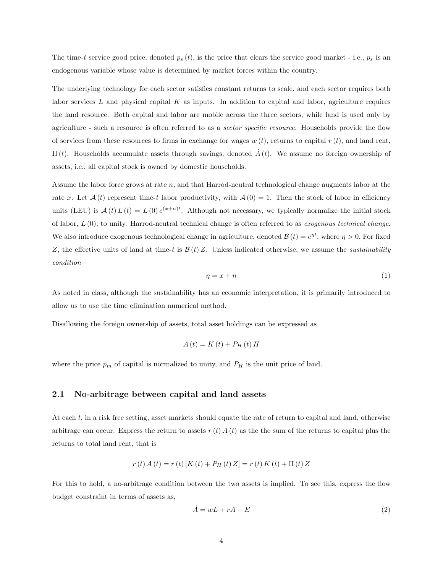The time-t service good price, denoted  $p_s(t)$ , is the price that clears the service good market - i.e.,  $p_s$  is an endogenous variable whose value is determined by market forces within the country.

The underlying technology for each sector satisfies constant returns to scale, and each sector requires both labor services  $L$  and physical capital  $K$  as inputs. In addition to capital and labor, agriculture requires the land resource. Both capital and labor are mobile across the three sectors, while land is used only by agriculture - such a resource is often referred to as a *sector specific resource*. Households provide the flow of services from these resources to firms in exchange for wages  $w(t)$ , returns to capital  $r(t)$ , and land rent,  $\Pi(t)$ . Households accumulate assets through savings, denoted  $\vec{A}(t)$ . We assume no foreign ownership of assets, i.e., all capital stock is owned by domestic households.

Assume the labor force grows at rate  $n$ , and that Harrod-neutral technological change augments labor at the rate x. Let  $\mathcal{A}(t)$  represent time-t labor productivity, with  $\mathcal{A}(0) = 1$ . Then the stock of labor in efficiency units (LEU) is  $\mathcal{A}(t) L(t) = L(0) e^{(x+n)t}$ . Although not necessary, we typically normalize the initial stock of labor,  $L(0)$ , to unity. Harrod-neutral technical change is often referred to as *exogenous technical change*. We also introduce exogenous technological change in agriculture, denoted  $\mathcal{B}(t) = e^{\eta t}$ , where  $\eta > 0$ . For fixed Z, the effective units of land at time-t is  $\mathcal{B}(t)$  Z. Unless indicated otherwise, we assume the *sustainability* condition

$$
\eta = x + n \tag{1}
$$

As noted in class, although the sustainability has an economic interpretation, it is primarily introduced to allow us to use the time elimination numerical method.

Disallowing the foreign ownership of assets, total asset holdings can be expressed as

$$
A(t) = K(t) + P_H(t) H
$$

where the price  $p_m$  of capital is normalized to unity, and  $P_H$  is the unit price of land.

## 2.1 No-arbitrage between capital and land assets

At each t, in a risk free setting, asset markets should equate the rate of return to capital and land, otherwise arbitrage can occur. Express the return to assets  $r(t) A(t)$  as the the sum of the returns to capital plus the returns to total land rent, that is

$$
r(t) A(t) = r(t) [K(t) + P_H(t) Z] = r(t) K(t) + \Pi(t) Z
$$

For this to hold, a no-arbitrage condition between the two assets is implied. To see this, express the flow budget constraint in terms of assets as,

$$
\dot{A} = wL + rA - E \tag{2}
$$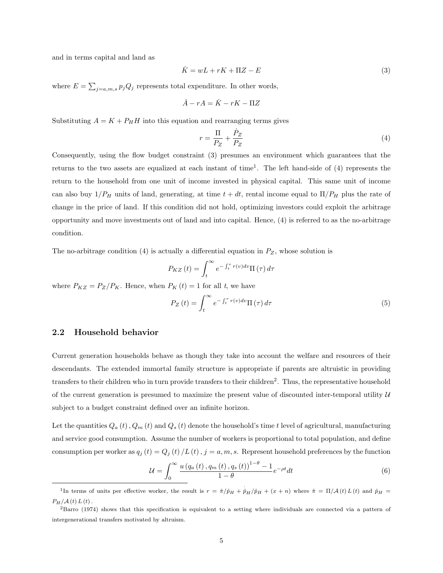and in terms capital and land as

$$
\dot{K} = wL + rK + \Pi Z - E \tag{3}
$$

where  $E = \sum_{j=a,m,s} p_j Q_j$  represents total expenditure. In other words,

$$
\dot{A} - rA = \dot{K} - rK - \Pi Z
$$

Substituting  $A = K + P_H H$  into this equation and rearranging terms gives

$$
r = \frac{\Pi}{P_Z} + \frac{\dot{P}_Z}{P_Z} \tag{4}
$$

Consequently, using the flow budget constraint (3) presumes an environment which guarantees that the returns to the two assets are equalized at each instant of time<sup>1</sup>. The left hand-side of  $(4)$  represents the return to the household from one unit of income invested in physical capital. This same unit of income can also buy  $1/P_H$  units of land, generating, at time  $t + dt$ , rental income equal to  $\Pi/P_H$  plus the rate of change in the price of land. If this condition did not hold, optimizing investors could exploit the arbitrage opportunity and move investments out of land and into capital. Hence, (4) is referred to as the no-arbitrage condition.

The no-arbitrage condition (4) is actually a differential equation in  $P_Z$ , whose solution is

$$
P_{KZ}\left(t\right) = \int_{t}^{\infty} e^{-\int_{t}^{\tau} r(v)dv} \Pi\left(\tau\right) d\tau
$$

where  $P_{KZ} = P_Z/P_K$ . Hence, when  $P_K(t) = 1$  for all t, we have

$$
P_Z\left(t\right) = \int_t^\infty e^{-\int_t^\tau r(v)dv} \Pi\left(\tau\right) d\tau\tag{5}
$$

## 2.2 Household behavior

Current generation households behave as though they take into account the welfare and resources of their descendants. The extended immortal family structure is appropriate if parents are altruistic in providing transfers to their children who in turn provide transfers to their children<sup>2</sup>. Thus, the representative household of the current generation is presumed to maximize the present value of discounted inter-temporal utility  $U$ subject to a budget constraint defined over an infinite horizon.

Let the quantities  $Q_a(t)$ ,  $Q_m(t)$  and  $Q_s(t)$  denote the household's time t level of agricultural, manufacturing and service good consumption. Assume the number of workers is proportional to total population, and define consumption per worker as  $q_j(t) = Q_j(t)/L(t)$ ,  $j = a, m, s$ . Represent household preferences by the function

$$
\mathcal{U} = \int_0^\infty \frac{u\left(q_a\left(t\right), q_m\left(t\right), q_s\left(t\right)\right)^{1-\theta} - 1}{1-\theta} e^{-\rho t} dt \tag{6}
$$

<sup>&</sup>lt;sup>1</sup>In terms of units per effective worker, the result is  $r = \frac{\hat{\pi}}{\hat{p}_H} + \frac{\dot{\hat{p}}_H}{\hat{p}_H} + (x + n)$  where  $\hat{\pi} = \Pi/A(t)L(t)$  and  $\hat{p}_H =$  $P_H/\mathcal{A}(t) L(t)$ .

 ${}^{2}$ Barro (1974) shows that this specification is equivalent to a setting where individuals are connected via a pattern of intergenerational transfers motivated by altruism.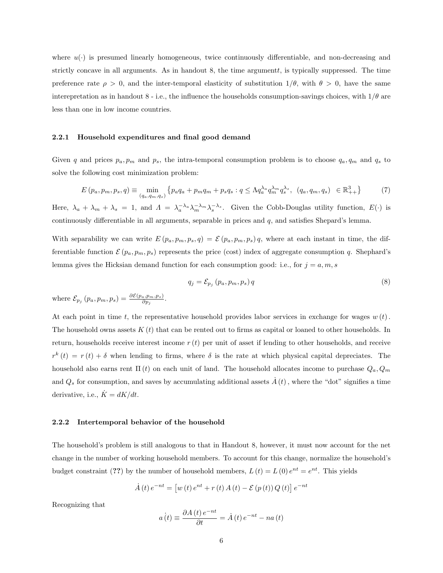where  $u(\cdot)$  is presumed linearly homogeneous, twice continuously differentiable, and non-decreasing and strictly concave in all arguments. As in handout 8, the time argumentt, is typically suppressed. The time preference rate  $\rho > 0$ , and the inter-temporal elasticity of substitution  $1/\theta$ , with  $\theta > 0$ , have the same interepretation as in handout 8 - i.e., the influence the households consumption-savings choices, with  $1/\theta$  are less than one in low income countries.

#### 2.2.1 Household expenditures and final good demand

Given q and prices  $p_a, p_m$  and  $p_s$ , the intra-temporal consumption problem is to choose  $q_a, q_m$  and  $q_s$  to solve the following cost minimization problem:

$$
E(p_a, p_m, p_s, q) \equiv \min_{(q_a, q_m, q_s)} \left\{ p_a q_a + p_m q_m + p_s q_s : q \le \Lambda q_a^{\lambda_a} q_m^{\lambda_m} q_s^{\lambda_s}, \ (q_a, q_m, q_s) \in \mathbb{R}_{++}^3 \right\} \tag{7}
$$

Here,  $\lambda_a + \lambda_m + \lambda_s = 1$ , and  $\Lambda = \lambda_a^{-\lambda_a} \lambda_m^{-\lambda_m} \lambda_s^{-\lambda_s}$ . Given the Cobb-Douglas utility function,  $E(\cdot)$  is continuously differentiable in all arguments, separable in prices and  $q$ , and satisfies Shepard's lemma.

With separability we can write  $E(p_a, p_m, p_s, q) = \mathcal{E}(p_a, p_m, p_s) q$ , where at each instant in time, the differentiable function  $\mathcal{E}(p_a, p_m, p_s)$  represents the price (cost) index of aggregate consumption q. Shephard's lemma gives the Hicksian demand function for each consumption good: i.e., for  $j = a, m, s$ 

$$
q_j = \mathcal{E}_{p_j} \left( p_a, p_m, p_s \right) q \tag{8}
$$

where  $\mathcal{E}_{p_j}(p_a, p_m, p_s) = \frac{\partial \mathcal{E}(p_a, p_m, p_s)}{\partial p_j}.$ 

At each point in time t, the representative household provides labor services in exchange for wages  $w(t)$ . The household owns assets  $K(t)$  that can be rented out to firms as capital or loaned to other households. In return, households receive interest income  $r(t)$  per unit of asset if lending to other households, and receive  $r^{k}(t) = r(t) + \delta$  when lending to firms, where  $\delta$  is the rate at which physical capital depreciates. The household also earns rent  $\Pi(t)$  on each unit of land. The household allocates income to purchase  $Q_a, Q_m$ and  $Q_s$  for consumption, and saves by accumulating additional assets  $\dot{A}(t)$ , where the "dot" signifies a time derivative, i.e.,  $\dot{K} = dK/dt$ .

## 2.2.2 Intertemporal behavior of the household

The household's problem is still analogous to that in Handout 8, however, it must now account for the net change in the number of working household members. To account for this change, normalize the household's budget constraint (??) by the number of household members,  $L(t) = L(0) e^{nt} = e^{nt}$ . This yields

$$
\dot{A}(t) e^{-nt} = [w(t) e^{nt} + r(t) A(t) - \mathcal{E}(p(t)) Q(t)] e^{-nt}
$$

Recognizing that

$$
a(t) \equiv \frac{\partial A(t) e^{-nt}}{\partial t} = \dot{A}(t) e^{-nt} - na(t)
$$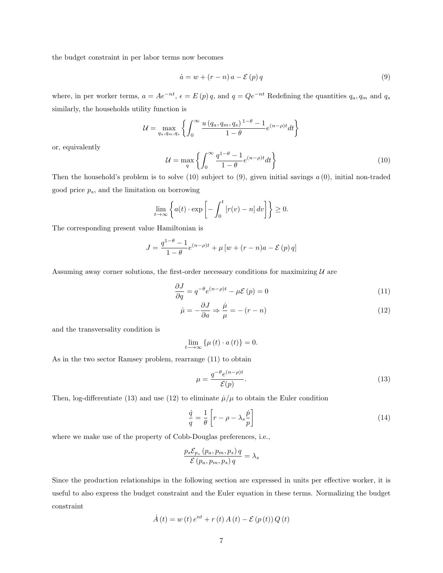the budget constraint in per labor terms now becomes

$$
\dot{a} = w + (r - n)a - \mathcal{E}(p)q
$$
\n(9)

where, in per worker terms,  $a = Ae^{-nt}$ ,  $\epsilon = E(p)q$ , and  $q = Qe^{-nt}$  Redefining the quantities  $q_a, q_m$  and  $q_s$ similarly, the households utility function is

$$
\mathcal{U} = \max_{q_a, q_m, q_s} \left\{ \int_0^\infty \frac{u (q_a, q_m, q_s)^{1-\theta} - 1}{1-\theta} e^{(n-\rho)t} dt \right\}
$$

or, equivalently

$$
\mathcal{U} = \max_{q} \left\{ \int_0^\infty \frac{q^{1-\theta} - 1}{1-\theta} e^{(n-\rho)t} dt \right\} \tag{10}
$$

Then the household's problem is to solve (10) subject to  $(9)$ , given initial savings  $a(0)$ , initial non-traded good price  $p_s$ , and the limitation on borrowing

$$
\lim_{t \to \infty} \left\{ a(t) \cdot \exp \left[ - \int_0^t \left[ r(v) - n \right] dv \right] \right\} \ge 0.
$$

The corresponding present value Hamiltonian is

$$
J = \frac{q^{1-\theta} - 1}{1-\theta} e^{(n-\rho)t} + \mu \left[ w + (r - n)a - \mathcal{E}(p) q \right]
$$

Assuming away corner solutions, the first-order necessary conditions for maximizing  $U$  are

$$
\frac{\partial J}{\partial q} = q^{-\theta} e^{(n-\rho)t} - \mu \mathcal{E}(p) = 0 \tag{11}
$$

$$
\dot{\mu} = -\frac{\partial J}{\partial a} \Rightarrow \frac{\dot{\mu}}{\mu} = -(r - n)
$$
\n(12)

and the transversality condition is

$$
\lim_{t \to \infty} \{ \mu(t) \cdot a(t) \} = 0.
$$

As in the two sector Ramsey problem, rearrange (11) to obtain

$$
\mu = \frac{q^{-\theta} e^{(n-\rho)t}}{\mathcal{E}(p)}.\tag{13}
$$

Then, log-differentiate (13) and use (12) to eliminate  $\mu/\mu$  to obtain the Euler condition

$$
\frac{\dot{q}}{q} = \frac{1}{\theta} \left[ r - \rho - \lambda_s \frac{\dot{p}}{p} \right]
$$
\n(14)

where we make use of the property of Cobb-Douglas preferences, i.e.,

$$
\frac{p_s \mathcal{E}_{p_s} (p_a, p_m, p_s) q}{\mathcal{E} (p_a, p_m, p_s) q} = \lambda_s
$$

Since the production relationships in the following section are expressed in units per effective worker, it is useful to also express the budget constraint and the Euler equation in these terms. Normalizing the budget constraint

$$
\dot{A}(t) = w(t) e^{nt} + r(t) A(t) - \mathcal{E}(p(t)) Q(t)
$$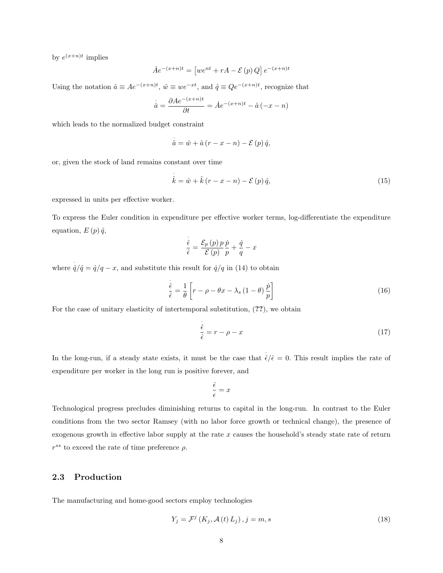by  $e^{(x+n)t}$  implies

$$
\dot{A}e^{-(x+n)t} = \left[we^{nt} + rA - \mathcal{E}(p)Q\right]e^{-(x+n)t}
$$

Using the notation  $\hat{a} \equiv Ae^{-(x+n)t}$ ,  $\hat{w} \equiv we^{-xt}$ , and  $\hat{q} \equiv Qe^{-(x+n)t}$ , recognize that

·

$$
\dot{\hat{a}} = \frac{\partial Ae^{-(x+n)t}}{\partial t} = \dot{A}e^{-(x+n)t} - \hat{a}(-x-n)
$$

which leads to the normalized budget constraint

$$
\dot{\hat{a}} = \hat{w} + \hat{a} (r - x - n) - \mathcal{E}(p) \hat{q},
$$

or, given the stock of land remains constant over time

$$
\hat{k} = \hat{w} + \hat{k} (r - x - n) - \mathcal{E}(p) \hat{q},\tag{15}
$$

expressed in units per effective worker.

To express the Euler condition in expenditure per effective worker terms, log-differentiate the expenditure equation,  $E(p) \hat{q}$ ,

$$
\frac{\dot{\hat{\epsilon}}}{\hat{\epsilon}} = \frac{\mathcal{E}_p(p) \, p}{\mathcal{E}(p)} \frac{\dot{p}}{p} + \frac{\dot{q}}{q} - x
$$

where  $\hat{q}/\hat{q} = \hat{q}/q - x$ , and substitute this result for  $\hat{q}/q$  in (14) to obtain

$$
\frac{\dot{\hat{\epsilon}}}{\hat{\epsilon}} = \frac{1}{\theta} \left[ r - \rho - \theta x - \lambda_s \left( 1 - \theta \right) \frac{\dot{p}}{p} \right]
$$
\n(16)

For the case of unitary elasticity of intertemporal substitution, (??), we obtain

$$
\frac{\dot{\hat{\epsilon}}}{\hat{\epsilon}} = r - \rho - x \tag{17}
$$

In the long-run, if a steady state exists, it must be the case that  $\hat{\epsilon}/\hat{\epsilon} = 0$ . This result implies the rate of expenditure per worker in the long run is positive forever, and

$$
\frac{\dot{\epsilon}}{\epsilon} = x
$$

Technological progress precludes diminishing returns to capital in the long-run. In contrast to the Euler conditions from the two sector Ramsey (with no labor force growth or technical change), the presence of exogenous growth in effective labor supply at the rate  $x$  causes the household's steady state rate of return  $r^{ss}$  to exceed the rate of time preference  $\rho$ .

## 2.3 Production

The manufacturing and home-good sectors employ technologies

$$
Y_j = \mathcal{F}^j\left(K_j, \mathcal{A}\left(t\right)L_j\right), j = m, s \tag{18}
$$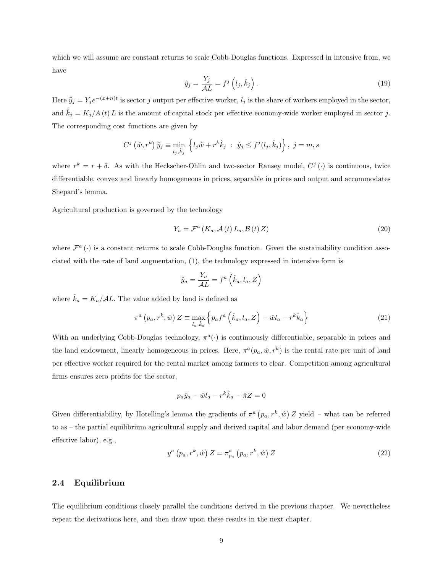which we will assume are constant returns to scale Cobb-Douglas functions. Expressed in intensive from, we have

$$
\hat{y}_j = \frac{Y_j}{\mathcal{A}L} = f^j \left( l_j, \hat{k}_j \right). \tag{19}
$$

Here  $\hat{y}_j = Y_j e^{-(x+n)t}$  is sector j output per effective worker,  $l_j$  is the share of workers employed in the sector, and  $\hat{k}_j = K_j/A(t) L$  is the amount of capital stock per effective economy-wide worker employed in sector j. The corresponding cost functions are given by

$$
C^{j}(\hat{w}, r^{k}) \hat{y}_{j} \equiv \min_{l_{j}, \hat{k}_{j}} \left\{ l_{j} \hat{w} + r^{k} \hat{k}_{j} : \hat{y}_{j} \leq f^{j}(l_{j}, \hat{k}_{j}) \right\}, \ j = m, s
$$

where  $r^k = r + \delta$ . As with the Heckscher-Ohlin and two-sector Ransey model,  $C^j(\cdot)$  is continuous, twice differentiable, convex and linearly homogeneous in prices, separable in prices and output and accommodates Shepard's lemma.

Agricultural production is governed by the technology

$$
Y_a = \mathcal{F}^a \left( K_a, \mathcal{A} \left( t \right) L_a, \mathcal{B} \left( t \right) Z \right) \tag{20}
$$

where  $\mathcal{F}^a(\cdot)$  is a constant returns to scale Cobb-Douglas function. Given the sustainability condition associated with the rate of land augmentation, (1), the technology expressed in intensive form is

$$
\hat{y}_a = \frac{Y_a}{\mathcal{A}L} = f^a\left(\hat{k}_a, l_a, Z\right)
$$

where  $\hat{k}_a = K_a / A L$ . The value added by land is defined as

$$
\pi^{a}\left(p_{a},r^{k},\hat{w}\right)Z\equiv\max_{l_{a},\hat{k}_{a}}\left\{ p_{a}f^{a}\left(\hat{k}_{a},l_{a},Z\right)-\hat{w}l_{a}-r^{k}\hat{k}_{a}\right\} \tag{21}
$$

With an underlying Cobb-Douglas technology,  $\pi^a(\cdot)$  is continuously differentiable, separable in prices and the land endowment, linearly homogeneous in prices. Here,  $\pi^a(p_a, \hat{w}, r^k)$  is the rental rate per unit of land per effective worker required for the rental market among farmers to clear. Competition among agricultural firms ensures zero profits for the sector,

$$
p_a \hat{y}_a - \hat{w} l_a - r^k \hat{k}_a - \hat{\pi} Z = 0
$$

Given differentiability, by Hotelling's lemma the gradients of  $\pi^a(p_a, r^k, \hat{w}) Z$  yield – what can be referred to as – the partial equilibrium agricultural supply and derived capital and labor demand (per economy-wide effective labor), e.g.,

$$
y^{a}\left(p_{a},r^{k},\hat{w}\right)Z=\pi_{p_{a}}^{a}\left(p_{a},r^{k},\hat{w}\right)Z
$$
\n
$$
(22)
$$

## 2.4 Equilibrium

The equilibrium conditions closely parallel the conditions derived in the previous chapter. We nevertheless repeat the derivations here, and then draw upon these results in the next chapter.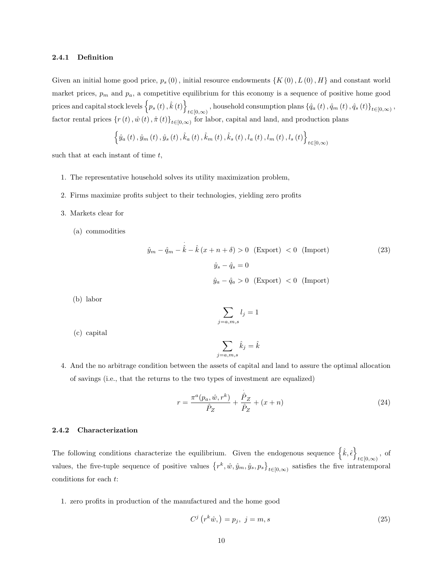### 2.4.1 Definition

Given an initial home good price,  $p_s(0)$ , initial resource endowments  $\{K(0), L(0), H\}$  and constant world market prices,  $p_m$  and  $p_a$ , a competitive equilibrium for this economy is a sequence of positive home good prices and capital stock levels  $\{p_s(t), \hat{k}(t)\}\$  $t\in[0,\infty)$ , household consumption plans  $\{\hat{q}_a\left(t\right),\hat{q}_m\left(t\right),\hat{q}_s\left(t\right)\}_{t\in[0,\infty)},$ factor rental prices  $\{r(t), \hat{w}(t), \hat{\pi}(t)\}_{t\in[0,\infty)}$  for labor, capital and land, and production plans

$$
\left\{\hat{y}_{a}\left(t\right),\hat{y}_{m}\left(t\right),\hat{y}_{s}\left(t\right),\hat{k}_{a}\left(t\right),\hat{k}_{m}\left(t\right),\hat{k}_{s}\left(t\right),l_{a}\left(t\right),l_{m}\left(t\right),l_{s}\left(t\right)\right\}_{t\in[0,\infty)}
$$

such that at each instant of time  $t$ ,

- 1. The representative household solves its utility maximization problem,
- 2. Firms maximize profits subject to their technologies, yielding zero profits
- 3. Markets clear for
	- (a) commodities

$$
\hat{y}_m - \hat{q}_m - \hat{k} - \hat{k}(x + n + \delta) > 0 \quad \text{(Export)} < 0 \quad \text{(Import)} \tag{23}
$$
\n
$$
\hat{y}_s - \hat{q}_s = 0
$$
\n
$$
\hat{y}_a - \hat{q}_a > 0 \quad \text{(Export)} < 0 \quad \text{(Import)}
$$

(b) labor

$$
\sum_{j=a,m,s} l_j = 1
$$

(c) capital

$$
\sum_{j=a,m,s} \hat{k}_j = \hat{k}
$$

4. And the no arbitrage condition between the assets of capital and land to assure the optimal allocation of savings (i.e., that the returns to the two types of investment are equalized)

$$
r = \frac{\pi^a(p_a, \hat{w}, r^k)}{\hat{P}_Z} + \frac{\hat{P}_Z}{\hat{P}_Z} + (x + n)
$$
\n(24)

## 2.4.2 Characterization

The following conditions characterize the equilibrium. Given the endogenous sequence  $\{\hat{k}, \hat{\epsilon}\}\$  $t\in[0,\infty)$ , of values, the five-tuple sequence of positive values  $\{r^k, \hat{w}, \hat{y}_m, \hat{y}_s, p_s\}_{t\in[0,\infty)}$  satisfies the five intratemporal conditions for each t:

1. zero profits in production of the manufactured and the home good

$$
C^j\left(r^k\hat{w},\right) = p_j, \ j = m, s \tag{25}
$$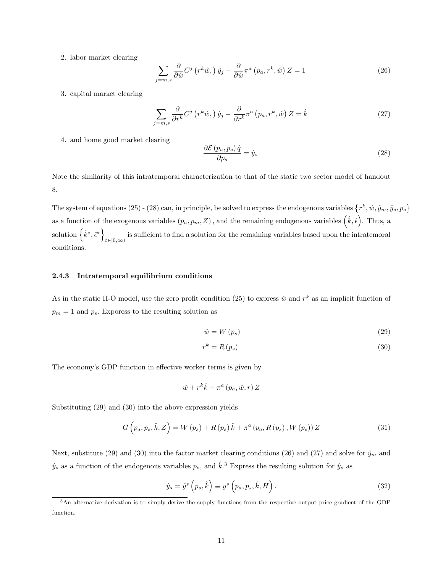2. labor market clearing

$$
\sum_{j=m,s} \frac{\partial}{\partial \hat{w}} C^j \left( r^k \hat{w}, \right) \hat{y}_j - \frac{\partial}{\partial \hat{w}} \pi^a \left( p_a, r^k, \hat{w} \right) Z = 1 \tag{26}
$$

3. capital market clearing

$$
\sum_{j=m,s} \frac{\partial}{\partial r^k} C^j \left( r^k \hat{w}, \right) \hat{y}_j - \frac{\partial}{\partial r^k} \pi^a \left( p_a, r^k, \hat{w} \right) Z = \hat{k} \tag{27}
$$

4. and home good market clearing

$$
\frac{\partial \mathcal{E}\left(p_a, p_s\right)\hat{q}}{\partial p_s} = \hat{y}_s \tag{28}
$$

Note the similarity of this intratemporal characterization to that of the static two sector model of handout 8.

The system of equations (25) - (28) can, in principle, be solved to express the endogenous variables  $\{r^k, \hat{w}, \hat{y}_m, \hat{y}_s, p_s\}$ as a function of the exogenous variables  $(p_a, p_m, Z)$ , and the remaining endogenous variables  $(\hat{k}, \hat{\epsilon})$ . Thus, a solution  $\{\hat{k}^*, \hat{\epsilon}^*\}$ is sufficient to find a solution for the remaining variables based upon the intratemoral  $t \in [0,\infty)$ conditions.

## 2.4.3 Intratemporal equilibrium conditions

As in the static H-O model, use the zero profit condition (25) to express  $\hat{w}$  and  $r^k$  as an implicit function of  $p_m = 1$  and  $p_s$ . Exporess to the resulting solution as

$$
\hat{w} = W\left(p_s\right) \tag{29}
$$

$$
r^k = R(p_s) \tag{30}
$$

The economy's GDP function in effective worker terms is given by

$$
\hat{w} + r^k \hat{k} + \pi^a (p_a, \hat{w}, r) Z
$$

Substituting (29) and (30) into the above expression yields

$$
G(p_a, p_s, \hat{k}, Z) = W(p_s) + R(p_s) \hat{k} + \pi^a (p_a, R(p_s), W(p_s)) Z
$$
\n(31)

Next, substitute (29) and (30) into the factor market clearing conditions (26) and (27) and solve for  $\hat{y}_m$  and  $\hat{y}_s$  as a function of the endogenous variables  $p_s$ , and  $\hat{k}$ .<sup>3</sup> Express the resulting solution for  $\hat{y}_s$  as

$$
\hat{y}_s = \tilde{y}^s \left( p_s, \hat{k} \right) \equiv y^s \left( p_a, p_s, \hat{k}, H \right). \tag{32}
$$

<sup>3</sup>An alternative derivation is to simply derive the supply functions from the respective output price gradient of the GDP function.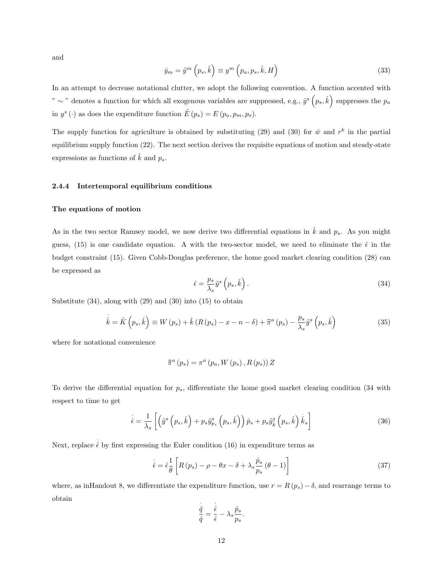and

$$
\hat{y}_m = \tilde{y}^m \left( p_s, \hat{k} \right) \equiv y^m \left( p_a, p_s, \hat{k}, H \right) \tag{33}
$$

In an attempt to decrease notational clutter, we adopt the following convention. A function accented with " ∼ " denotes a function for which all exogenous variables are suppressed, e.g.,  $\tilde{y}^s(p_s, \hat{k})$  suppresses the  $p_a$ in  $y^{s}(\cdot)$  as does the expenditure function  $\tilde{E}(p_s) = E(p_a, p_m, p_s)$ .

The supply function for agriculture is obtained by substituting (29) and (30) for  $\hat{w}$  and  $r^k$  in the partial equilibrium supply function (22). The next section derives the requisite equations of motion and steady-state expressions as functions of  $\hat{k}$  and  $p_s$ .

#### 2.4.4 Intertemporal equilibrium conditions

#### The equations of motion

As in the two sector Ramsey model, we now derive two differential equations in  $\hat{k}$  and  $p_s$ . As you might guess, (15) is one candidate equation. A with the two-sector model, we need to eliminate the  $\hat{\epsilon}$  in the budget constraint (15). Given Cobb-Douglas preference, the home good market clearing condition (28) can be expressed as

$$
\hat{\epsilon} = \frac{p_s}{\lambda_s} \tilde{y}^s \left( p_s, \hat{k} \right). \tag{34}
$$

Substitute  $(34)$ , along with  $(29)$  and  $(30)$  into  $(15)$  to obtain

$$
\dot{\hat{k}} = \tilde{K}\left(p_s, \hat{k}\right) \equiv W\left(p_s\right) + \hat{k}\left(R\left(p_s\right) - x - n - \delta\right) + \tilde{\pi}^a\left(p_s\right) - \frac{p_s}{\lambda_s}\tilde{y}^s\left(p_s, \hat{k}\right)
$$
\n(35)

where for notational convenience

$$
\tilde{\pi}^{a}\left(p_{s}\right) = \pi^{a}\left(p_{a}, W\left(p_{s}\right), R\left(p_{s}\right)\right) Z
$$

To derive the differential equation for  $p_s$ , differentiate the home good market clearing condition (34 with respect to time to get

$$
\dot{\hat{\epsilon}} = \frac{1}{\lambda_s} \left[ \left( \tilde{y}^s \left( p_s, \hat{k} \right) + p_s \tilde{y}_{p_s}^s \left( p_s, \hat{k} \right) \right) \dot{p}_s + p_s \tilde{y}_{\hat{k}}^s \left( p_s, \hat{k} \right) \dot{\hat{k}}_s \right]
$$
(36)

Next, replace  $\hat{\epsilon}$  by first expressing the Euler condition (16) in expenditure terms as

$$
\hat{\epsilon} = \hat{\epsilon} \frac{1}{\theta} \left[ R(p_s) - \rho - \theta x - \delta + \lambda_s \frac{\dot{p}_s}{p_s} (\theta - 1) \right]
$$
\n(37)

where, as inHandout 8, we differentiate the expenditure function, use  $r = R(p_s) - \delta$ , and rearrange terms to obtain

$$
\frac{\dot{\hat{q}}}{\hat{q}} = \frac{\dot{\hat{\epsilon}}}{\hat{\epsilon}} - \lambda_s \frac{\dot{p}_s}{p_s}.
$$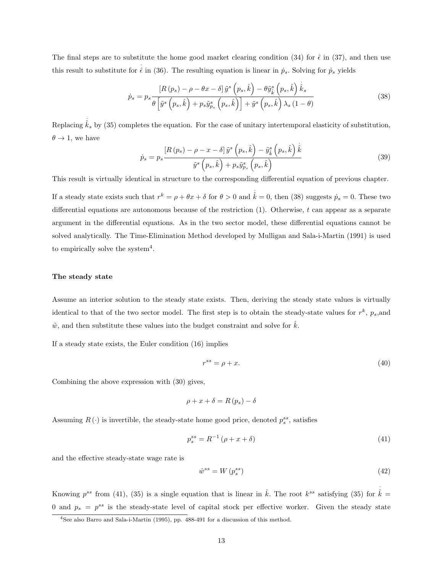The final steps are to substitute the home good market clearing condition (34) for  $\hat{\epsilon}$  in (37), and then use this result to substitute for  $\hat{\epsilon}$  in (36). The resulting equation is linear in  $\dot{p}_s$ . Solving for  $\dot{p}_s$  yields

$$
\dot{p}_s = p_s \frac{\left[R\left(p_s\right) - \rho - \theta x - \delta\right] \tilde{y}^s \left(p_s, \hat{k}\right) - \theta \tilde{y}^s_{\hat{k}} \left(p_s, \hat{k}\right) \dot{\hat{k}}_s}{\theta \left[\tilde{y}^s \left(p_s, \hat{k}\right) + p_s \tilde{y}^s_{p_s} \left(p_s, \hat{k}\right)\right] + \tilde{y}^s \left(p_s, \hat{k}\right) \lambda_s \left(1 - \theta\right)}\tag{38}
$$

Replacing  $\dot{\hat{k}}_s$  by (35) completes the equation. For the case of unitary intertemporal elasticity of substitution,  $\theta \rightarrow 1$ , we have

$$
\dot{p}_s = p_s \frac{\left[R\left(p_s\right) - \rho - x - \delta\right] \tilde{y}^s \left(p_s, \hat{k}\right) - \tilde{y}^s_{\hat{k}} \left(p_s, \hat{k}\right) \dot{\hat{k}}}{\tilde{y}^s \left(p_s, \hat{k}\right) + p_s \tilde{y}^s_{p_s} \left(p_s, \hat{k}\right)} \tag{39}
$$

This result is virtually identical in structure to the corresponding differential equation of previous chapter.

If a steady state exists such that  $r^k = \rho + \theta x + \delta$  for  $\theta > 0$  and  $\dot{k} = 0$ , then (38) suggests  $\dot{p}_s = 0$ . These two differential equations are autonomous because of the restriction  $(1)$ . Otherwise, t can appear as a separate argument in the differential equations. As in the two sector model, these differential equations cannot be solved analytically. The Time-Elimination Method developed by Mulligan and Sala-i-Martin (1991) is used to empirically solve the system<sup>4</sup>.

#### The steady state

Assume an interior solution to the steady state exists. Then, deriving the steady state values is virtually identical to that of the two sector model. The first step is to obtain the steady-state values for  $r^k$ ,  $p_s$ , and  $\hat{w}$ , and then substitute these values into the budget constraint and solve for  $\hat{k}$ .

If a steady state exists, the Euler condition (16) implies

$$
r^{ss} = \rho + x.\tag{40}
$$

Combining the above expression with (30) gives,

$$
\rho + x + \delta = R(p_s) - \delta
$$

Assuming  $R(\cdot)$  is invertible, the steady-state home good price, denoted  $p_s^{ss}$ , satisfies

$$
p_s^{ss} = R^{-1} \left( \rho + x + \delta \right) \tag{41}
$$

and the effective steady-state wage rate is

$$
\hat{w}^{ss} = W\left(p_s^{ss}\right) \tag{42}
$$

Knowing  $p^{ss}$  from (41), (35) is a single equation that is linear in  $\hat{k}$ . The root  $k^{ss}$  satisfying (35) for  $\dot{\hat{k}} =$ 0 and  $p_s = p^{ss}$  is the steady-state level of capital stock per effective worker. Given the steady state

<sup>4</sup>See also Barro and Sala-i-Martin (1995), pp. 488-491 for a discussion of this method.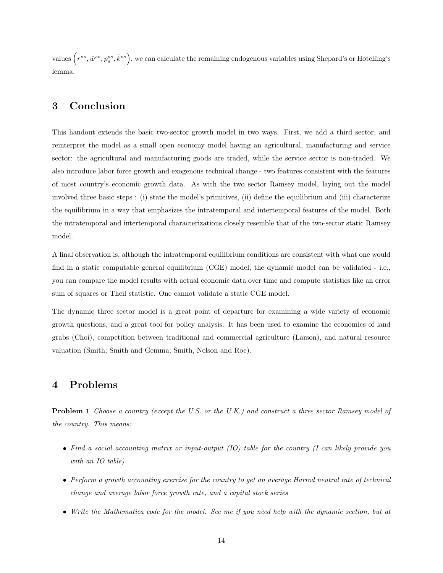values  $\left(r^{ss},\hat{w}^{ss},p^{ss}_s,\hat{k}^{ss}\right)$ , we can calculate the remaining endogenous variables using Shepard's or Hotelling's lemma.

# 3 Conclusion

This handout extends the basic two-sector growth model in two ways. First, we add a third sector, and reinterpret the model as a small open economy model having an agricultural, manufacturing and service sector: the agricultural and manufacturing goods are traded, while the service sector is non-traded. We also introduce labor force growth and exogenous technical change - two features consistent with the features of most country's economic growth data. As with the two sector Ramsey model, laying out the model involved three basic steps : (i) state the model's primitives, (ii) define the equilibrium and (iii) characterize the equilibrium in a way that emphasizes the intratemporal and intertemporal features of the model. Both the intratemporal and intertemporal characterizations closely resemble that of the two-sector static Ramsey model.

A final observation is, although the intratemporal equilibrium conditions are consistent with what one would find in a static computable general equilibrium (CGE) model, the dynamic model can be validated - i.e., you can compare the model results with actual economic data over time and compute statistics like an error sum of squares or Theil statistic. One cannot validate a static CGE model.

The dynamic three sector model is a great point of departure for examining a wide variety of economic growth questions, and a great tool for policy analysis. It has been used to examine the economics of land grabs (Choi), competition between traditional and commercial agriculture (Larson), and natural resource valuation (Smith; Smith and Gemma; Smith, Nelson and Roe).

# 4 Problems

Problem 1 Choose a country (except the U.S. or the U.K.) and construct a three sector Ramsey model of the country. This means:

- Find a social accounting matrix or input-output (IO) table for the country (I can likely provide you with an IO table)
- Perform a growth accounting exercise for the country to get an average Harrod neutral rate of technical change and average labor force growth rate, and a capital stock series
- Write the Mathematica code for the model. See me if you need help with the dynamic section, but at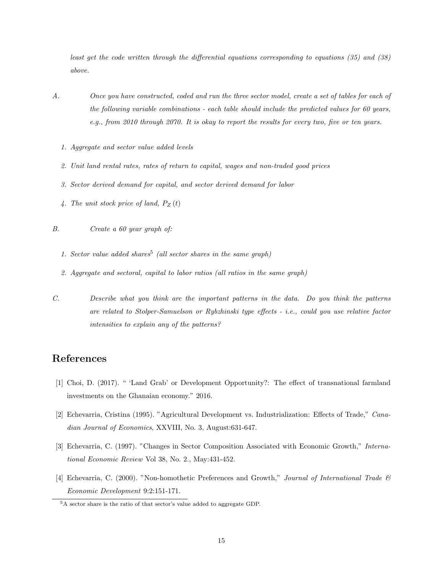least get the code written through the differential equations corresponding to equations (35) and (38) above.

- A. Once you have constructed, coded and run the three sector model, create a set of tables for each of the following variable combinations - each table should include the predicted values for 60 years, e.g., from 2010 through 2070. It is okay to report the results for every two, five or ten years.
	- 1. Aggregate and sector value added levels
	- 2. Unit land rental rates, rates of return to capital, wages and non-traded good prices
	- 3. Sector derived demand for capital, and sector derived demand for labor
	- 4. The unit stock price of land,  $P_Z(t)$
- B. Create a 60 year graph of:
	- 1. Sector value added shares<sup>5</sup> (all sector shares in the same graph)
	- 2. Aggregate and sectoral, capital to labor ratios (all ratios in the same graph)
- C. Describe what you think are the important patterns in the data. Do you think the patterns are related to Stolper-Samuelson or Rybzhinski type effects - i.e., could you use relative factor intensities to explain any of the patterns?

# References

- [1] Choi, D. (2017). " 'Land Grab' or Development Opportunity?: The effect of transnational farmland investments on the Ghanaian economy." 2016.
- [2] Echevarria, Cristina (1995). "Agricultural Development vs. Industrialization: Effects of Trade," Canadian Journal of Economics, XXVIII, No. 3, August:631-647.
- [3] Echevarria, C. (1997). "Changes in Sector Composition Associated with Economic Growth," International Economic Review Vol 38, No. 2., May:431-452.
- [4] Echevarria, C. (2000). "Non-homothetic Preferences and Growth," Journal of International Trade  $\mathcal{B}$ Economic Development 9:2:151-171.

<sup>5</sup>A sector share is the ratio of that sector's value added to aggregate GDP.